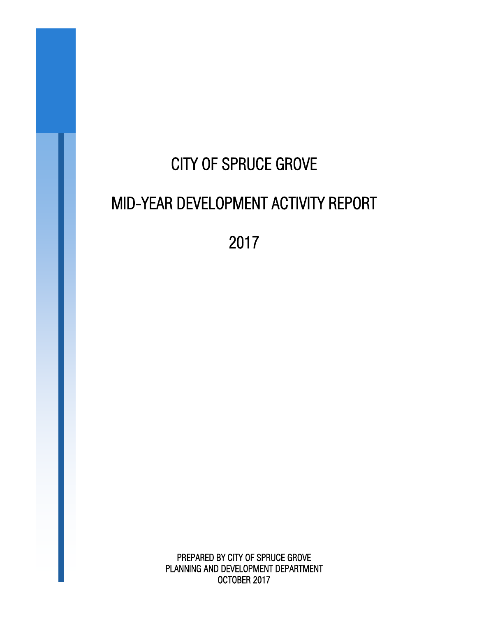# CITY OF SPRUCE GROVE MID-YEAR DEVELOPMENT ACTIVITY REPORT

2017

PREPARED BY CITY OF SPRUCE GROVE PLANNING AND DEVELOPMENT DEPARTMENT OCTOBER 2017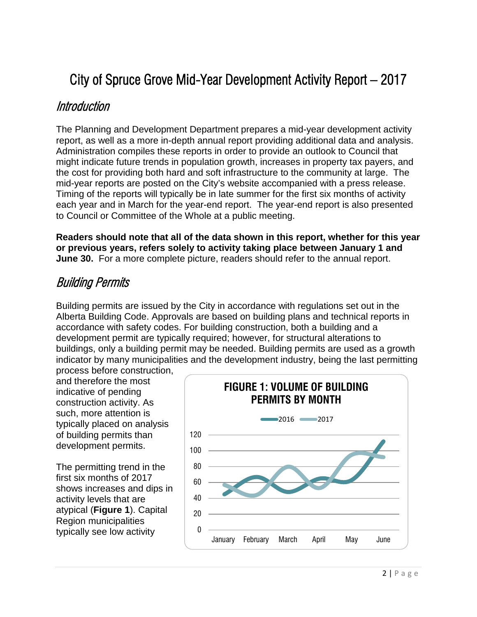## City of Spruce Grove Mid-Year Development Activity Report – 2017

#### Introduction

The Planning and Development Department prepares a mid-year development activity report, as well as a more in-depth annual report providing additional data and analysis. Administration compiles these reports in order to provide an outlook to Council that might indicate future trends in population growth, increases in property tax payers, and the cost for providing both hard and soft infrastructure to the community at large. The mid-year reports are posted on the City's website accompanied with a press release. Timing of the reports will typically be in late summer for the first six months of activity each year and in March for the year-end report. The year-end report is also presented to Council or Committee of the Whole at a public meeting.

**Readers should note that all of the data shown in this report, whether for this year or previous years, refers solely to activity taking place between January 1 and June 30.** For a more complete picture, readers should refer to the annual report.

#### Building Permits

Building permits are issued by the City in accordance with regulations set out in the Alberta Building Code. Approvals are based on building plans and technical reports in accordance with safety codes. For building construction, both a building and a development permit are typically required; however, for structural alterations to buildings, only a building permit may be needed. Building permits are used as a growth indicator by many municipalities and the development industry, being the last permitting process before construction,

and therefore the most indicative of pending construction activity. As such, more attention is typically placed on analysis of building permits than development permits.

The permitting trend in the first six months of 2017 shows increases and dips in activity levels that are atypical (**Figure 1**). Capital Region municipalities typically see low activity  $\begin{bmatrix} 0 \end{bmatrix}$ 

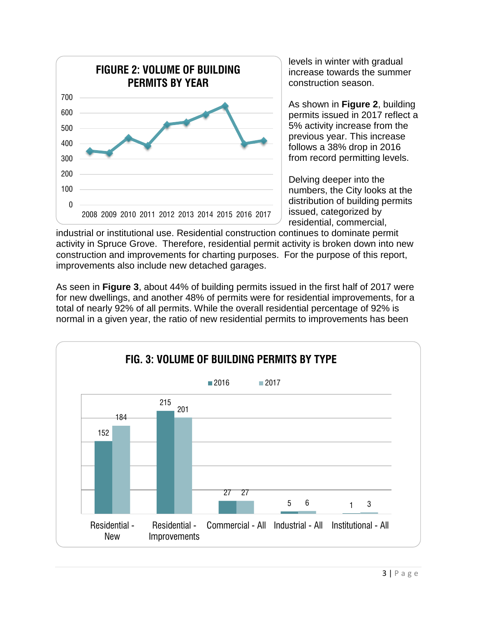

levels in winter with gradual increase towards the summer construction season.

As shown in **Figure 2**, building permits issued in 2017 reflect a 5% activity increase from the previous year. This increase follows a 38% drop in 2016 from record permitting levels.

Delving deeper into the numbers, the City looks at the distribution of building permits issued, categorized by residential, commercial,

industrial or institutional use. Residential construction continues to dominate permit activity in Spruce Grove. Therefore, residential permit activity is broken down into new construction and improvements for charting purposes. For the purpose of this report, improvements also include new detached garages.

As seen in **Figure 3**, about 44% of building permits issued in the first half of 2017 were for new dwellings, and another 48% of permits were for residential improvements, for a total of nearly 92% of all permits. While the overall residential percentage of 92% is normal in a given year, the ratio of new residential permits to improvements has been

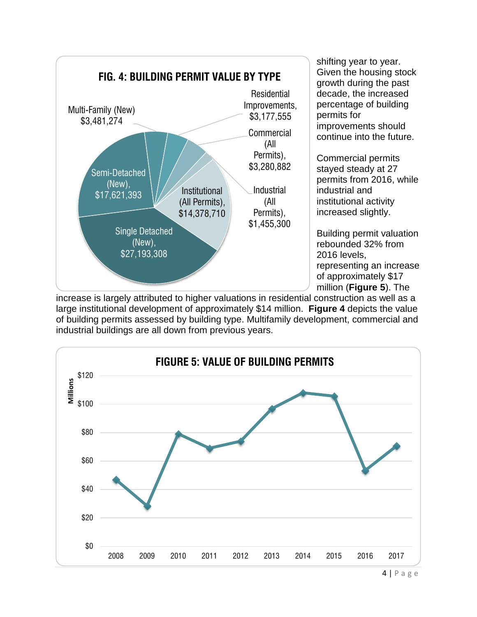

shifting year to year. Given the housing stock growth during the past decade, the increased percentage of building permits for improvements should continue into the future.

Commercial permits stayed steady at 27 permits from 2016, while industrial and institutional activity increased slightly.

Building permit valuation rebounded 32% from 2016 levels, representing an increase of approximately \$17 million (**Figure 5**). The

increase is largely attributed to higher valuations in residential construction as well as a large institutional development of approximately \$14 million. **Figure 4** depicts the value of building permits assessed by building type. Multifamily development, commercial and industrial buildings are all down from previous years.

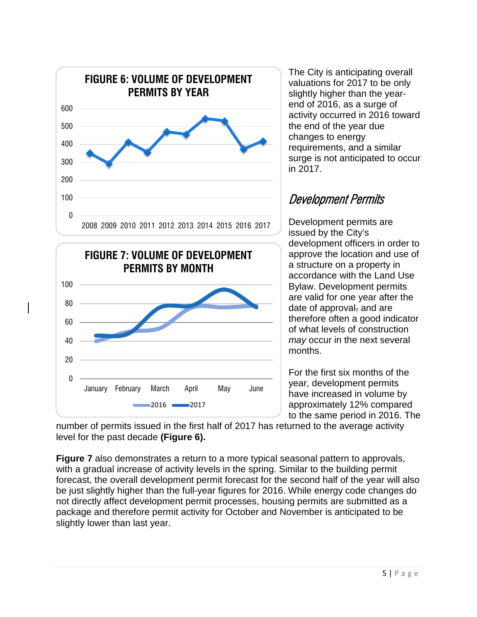



The City is anticipating overall valuations for 2017 to be only slightly higher than the yearend of 2016, as a surge of activity occurred in 2016 toward the end of the year due changes to energy requirements, and a similar surge is not anticipated to occur in 2017.

### Development Permits

Development permits are issued by the City's development officers in order to approve the location and use of a structure on a property in accordance with the Land Use Bylaw. Development permits are valid for one year after the date of approval, and are therefore often a good indicator of what levels of construction *may* occur in the next several months.

For the first six months of the year, development permits have increased in volume by approximately 12% compared to the same period in 2016. The

number of permits issued in the first half of 2017 has returned to the average activity level for the past decade **(Figure 6).**

**Figure 7** also demonstrates a return to a more typical seasonal pattern to approvals, with a gradual increase of activity levels in the spring. Similar to the building permit forecast, the overall development permit forecast for the second half of the year will also be just slightly higher than the full-year figures for 2016. While energy code changes do not directly affect development permit processes, housing permits are submitted as a package and therefore permit activity for October and November is anticipated to be slightly lower than last year.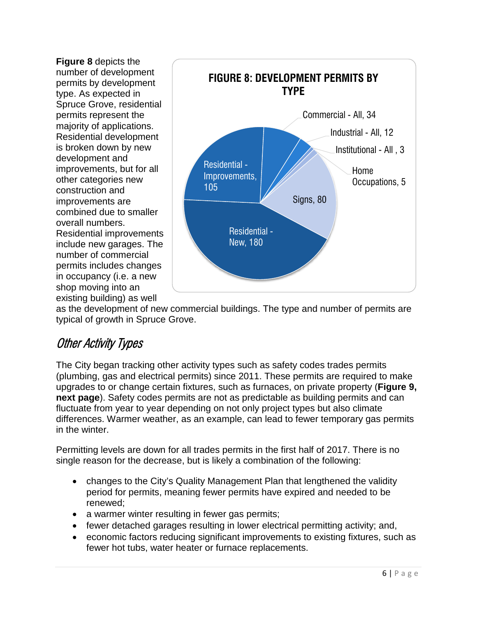**Figure 8** depicts the number of development permits by development type. As expected in Spruce Grove, residential permits represent the majority of applications. Residential development is broken down by new development and improvements, but for all other categories new construction and improvements are combined due to smaller overall numbers. Residential improvements include new garages. The number of commercial permits includes changes in occupancy (i.e. a new shop moving into an existing building) as well



as the development of new commercial buildings. The type and number of permits are typical of growth in Spruce Grove.

## Other Activity Types

The City began tracking other activity types such as safety codes trades permits (plumbing, gas and electrical permits) since 2011. These permits are required to make upgrades to or change certain fixtures, such as furnaces, on private property (**Figure 9, next page**). Safety codes permits are not as predictable as building permits and can fluctuate from year to year depending on not only project types but also climate differences. Warmer weather, as an example, can lead to fewer temporary gas permits in the winter.

Permitting levels are down for all trades permits in the first half of 2017. There is no single reason for the decrease, but is likely a combination of the following:

- changes to the City's Quality Management Plan that lengthened the validity period for permits, meaning fewer permits have expired and needed to be renewed;
- a warmer winter resulting in fewer gas permits;
- fewer detached garages resulting in lower electrical permitting activity; and,
- economic factors reducing significant improvements to existing fixtures, such as fewer hot tubs, water heater or furnace replacements.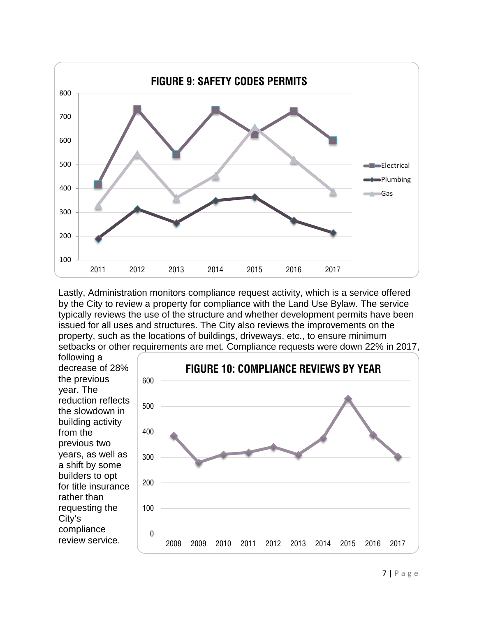

Lastly, Administration monitors compliance request activity, which is a service offered by the City to review a property for compliance with the Land Use Bylaw. The service typically reviews the use of the structure and whether development permits have been issued for all uses and structures. The City also reviews the improvements on the property, such as the locations of buildings, driveways, etc., to ensure minimum setbacks or other requirements are met. Compliance requests were down 22% in 2017,

following a decrease of 28% the previous year. The reduction reflects the slowdown in building activity from the previous two years, as well as a shift by some builders to opt for title insurance rather than requesting the City's compliance review service.